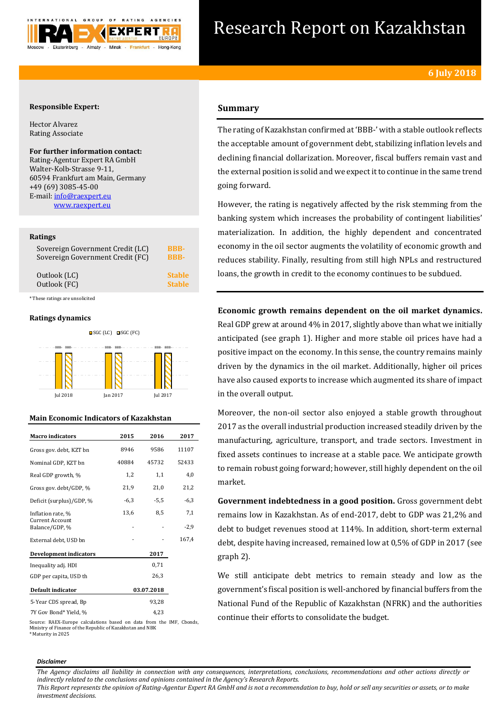

# Research Report on Kazakhstan

# **Responsible Expert:**

Hector Alvarez Rating Associate

# **For further information contact:** Rating-Agentur Expert RA GmbH

Walter-Kolb-Strasse 9-11, 60594 Frankfurt am Main, Germany +49 (69) 3085-45-00 E-mail[: info@raexpert.eu](mailto:info@raexpert.eu) [www.raexpert.eu](http://raexpert.eu/)

# **Ratings**

| Sovereign Government Credit (LC) | <b>BBB-</b>   |
|----------------------------------|---------------|
| Sovereign Government Credit (FC) | <b>BBB-</b>   |
| Outlook (LC)                     | <b>Stable</b> |
| Outlook (FC)                     | <b>Stable</b> |

\* These ratings are unsolicited

# **Ratings dynamics**



# **Main Economic Indicators of Kazakhstan**

| <b>Macro</b> indicators                  | 2015   | 2016       | 2017   |
|------------------------------------------|--------|------------|--------|
| Gross gov. debt, KZT bn                  | 8946   | 9586       | 11107  |
| Nominal GDP, KZT bn                      | 40884  | 45732      | 52433  |
| Real GDP growth, %                       | 1,2    | 1,1        | 4,0    |
| Gross gov. debt/GDP, %                   | 21,9   | 21,0       | 21,2   |
| Deficit (surplus)/GDP, %                 | $-6,3$ | $-5,5$     | $-6,3$ |
| Inflation rate, %                        | 13,6   | 8,5        | 7,1    |
| <b>Current Account</b><br>Balance/GDP, % |        |            | $-2,9$ |
| External debt, USD bn                    |        |            | 167,4  |
| <b>Development indicators</b>            |        | 2017       |        |
| Inequality adj. HDI                      |        | 0,71       |        |
| GDP per capita, USD th                   |        | 26,3       |        |
| Default indicator                        |        | 03.07.2018 |        |
| 5-Year CDS spread, Bp                    |        | 93,28      |        |
| 7Y Gov Bond* Yield, %                    |        | 4,23       |        |

Source: RAEX-Europe calculations based on data from the IMF, Cbonds, Ministry of Finance of the Republic of Kazakhstan and NBK \* Maturity in 2025

### *Disclaimer*

**Summary**

The rating of Kazakhstan confirmed at 'BBB-' with a stable outlook reflects the acceptable amount of government debt, stabilizing inflation levels and declining financial dollarization. Moreover, fiscal buffers remain vast and the external position is solid and we expect it to continue in the same trend going forward.

However, the rating is negatively affected by the risk stemming from the banking system which increases the probability of contingent liabilities' materialization. In addition, the highly dependent and concentrated economy in the oil sector augments the volatility of economic growth and reduces stability. Finally, resulting from still high NPLs and restructured loans, the growth in credit to the economy continues to be subdued.

**Economic growth remains dependent on the oil market dynamics.** Real GDP grew at around 4% in 2017, slightly above than what we initially anticipated (see graph 1). Higher and more stable oil prices have had a positive impact on the economy. In this sense, the country remains mainly driven by the dynamics in the oil market. Additionally, higher oil prices have also caused exports to increase which augmented its share of impact in the overall output.

Moreover, the non-oil sector also enjoyed a stable growth throughout 2017 as the overall industrial production increased steadily driven by the manufacturing, agriculture, transport, and trade sectors. Investment in fixed assets continues to increase at a stable pace. We anticipate growth to remain robust going forward; however, still highly dependent on the oil market.

**Government indebtedness in a good position.** Gross government debt remains low in Kazakhstan. As of end-2017, debt to GDP was 21,2% and debt to budget revenues stood at 114%. In addition, short-term external debt, despite having increased, remained low at 0,5% of GDP in 2017 (see graph 2).

We still anticipate debt metrics to remain steady and low as the government's fiscal position is well-anchored by financial buffers from the National Fund of the Republic of Kazakhstan (NFRK) and the authorities continue their efforts to consolidate the budget.

*The Agency disclaims all liability in connection with any consequences, interpretations, conclusions, recommendations and other actions directly or indirectly related to the conclusions and opinions contained in the Agency's Research Reports. This Report represents the opinion of Rating-Agentur Expert RA GmbH and is not a recommendation to buy, hold or sell any securities or assets, or to make* 

*investment decisions.*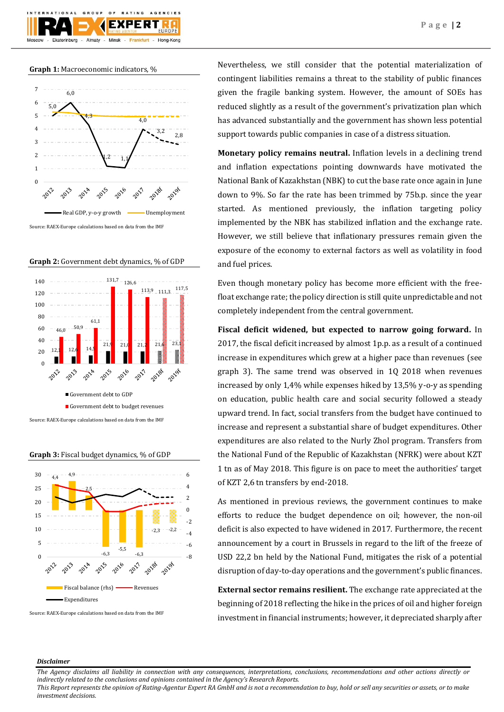

# **Graph 1:** Macroeconomic indicators, %







**Graph 3:** Fiscal budget dynamics, % of GDP



Source: RAEX-Europe calculations based on data from the IMF

Nevertheless, we still consider that the potential materialization of contingent liabilities remains a threat to the stability of public finances given the fragile banking system. However, the amount of SOEs has reduced slightly as a result of the government's privatization plan which has advanced substantially and the government has shown less potential support towards public companies in case of a distress situation.

**Monetary policy remains neutral.** Inflation levels in a declining trend and inflation expectations pointing downwards have motivated the National Bank of Kazakhstan (NBK) to cut the base rate once again in June down to 9%. So far the rate has been trimmed by 75b.p. since the year started. As mentioned previously, the inflation targeting policy implemented by the NBK has stabilized inflation and the exchange rate. However, we still believe that inflationary pressures remain given the exposure of the economy to external factors as well as volatility in food and fuel prices.

Even though monetary policy has become more efficient with the freefloat exchange rate; the policy direction is still quite unpredictable and not completely independent from the central government.

**Fiscal deficit widened, but expected to narrow going forward.** In 2017, the fiscal deficit increased by almost 1p.p. as a result of a continued increase in expenditures which grew at a higher pace than revenues (see graph 3). The same trend was observed in 1Q 2018 when revenues increased by only 1,4% while expenses hiked by 13,5% y-o-y as spending on education, public health care and social security followed a steady upward trend. In fact, social transfers from the budget have continued to increase and represent a substantial share of budget expenditures. Other expenditures are also related to the Nurly Zhol program. Transfers from the National Fund of the Republic of Kazakhstan (NFRK) were about KZT 1 tn as of May 2018. This figure is on pace to meet the authorities' target of KZT 2,6 tn transfers by end-2018.

As mentioned in previous reviews, the government continues to make efforts to reduce the budget dependence on oil; however, the non-oil deficit is also expected to have widened in 2017. Furthermore, the recent announcement by a court in Brussels in regard to the lift of the freeze of USD 22,2 bn held by the National Fund, mitigates the risk of a potential disruption of day-to-day operations and the government's public finances.

**External sector remains resilient.** The exchange rate appreciated at the beginning of 2018 reflecting the hike in the prices of oil and higher foreign investment in financial instruments; however, it depreciated sharply after

# *Disclaimer*

*The Agency disclaims all liability in connection with any consequences, interpretations, conclusions, recommendations and other actions directly or indirectly related to the conclusions and opinions contained in the Agency's Research Reports.*

*This Report represents the opinion of Rating-Agentur Expert RA GmbH and is not a recommendation to buy, hold or sell any securities or assets, or to make investment decisions.*